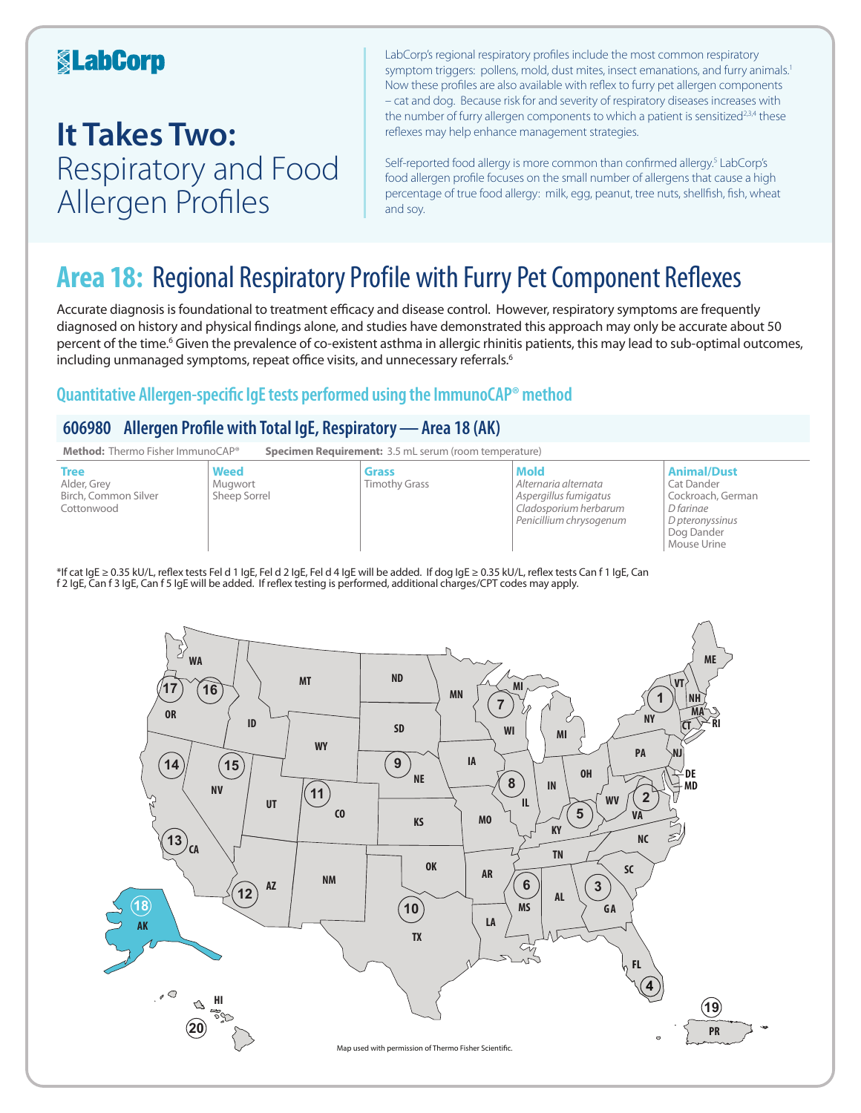### **KabCorp**

## **It Takes Two:**  Respiratory and Food Allergen Profiles

LabCorp's regional respiratory profiles include the most common respiratory symptom triggers: pollens, mold, dust mites, insect emanations, and furry animals.<sup>1</sup> Now these profiles are also available with reflex to furry pet allergen components – cat and dog. Because risk for and severity of respiratory diseases increases with the number of furry allergen components to which a patient is sensitized<sup>2,3,4</sup> these reflexes may help enhance management strategies.

Self-reported food allergy is more common than confirmed allergy.<sup>5</sup> LabCorp's food allergen profile focuses on the small number of allergens that cause a high percentage of true food allergy: milk, egg, peanut, tree nuts, shellfish, fish, wheat and soy.

## **Area 18:** Regional Respiratory Profile with Furry Pet Component Reflexes

Accurate diagnosis is foundational to treatment efficacy and disease control. However, respiratory symptoms are frequently diagnosed on history and physical findings alone, and studies have demonstrated this approach may only be accurate about 50 percent of the time.<sup>6</sup> Given the prevalence of co-existent asthma in allergic rhinitis patients, this may lead to sub-optimal outcomes, including unmanaged symptoms, repeat office visits, and unnecessary referrals.<sup>6</sup>

### **Quantitative Allergen-specific IgE tests performed using the ImmunoCAP® method**

### **606980 Allergen Profile with Total IgE, Respiratory—Area 18 (AK)**



\*If cat IgE ≥ 0.35 kU/L, reflex tests Fel d 1 IgE, Fel d 2 IgE, Fel d 4 IgE will be added. If dog IgE ≥ 0.35 kU/L, reflex tests Can f 1 IgE, Can f 2 IgE, Can f 3 IgE, Can f 5 IgE will be added. If reflex testing is performed, additional charges/CPT codes may apply.